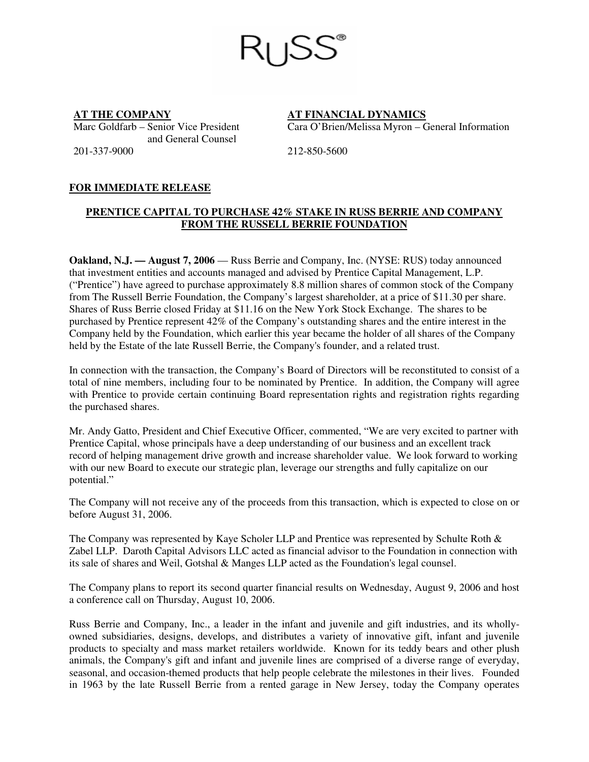Marc Goldfarb – Senior Vice President and General Counsel 201-337-9000 212-850-5600

**AT THE COMPANY AT FINANCIAL DYNAMICS** Cara O'Brien/Melissa Myron – General Information

## **FOR IMMEDIATE RELEASE**

## **PRENTICE CAPITAL TO PURCHASE 42% STAKE IN RUSS BERRIE AND COMPANY FROM THE RUSSELL BERRIE FOUNDATION**

**Oakland, N.J. — August 7, 2006** — Russ Berrie and Company, Inc. (NYSE: RUS) today announced that investment entities and accounts managed and advised by Prentice Capital Management, L.P. ("Prentice") have agreed to purchase approximately 8.8 million shares of common stock of the Company from The Russell Berrie Foundation, the Company's largest shareholder, at a price of \$11.30 per share. Shares of Russ Berrie closed Friday at \$11.16 on the New York Stock Exchange. The shares to be purchased by Prentice represent 42% of the Company's outstanding shares and the entire interest in the Company held by the Foundation, which earlier this year became the holder of all shares of the Company held by the Estate of the late Russell Berrie, the Company's founder, and a related trust.

In connection with the transaction, the Company's Board of Directors will be reconstituted to consist of a total of nine members, including four to be nominated by Prentice. In addition, the Company will agree with Prentice to provide certain continuing Board representation rights and registration rights regarding the purchased shares.

Mr. Andy Gatto, President and Chief Executive Officer, commented, "We are very excited to partner with Prentice Capital, whose principals have a deep understanding of our business and an excellent track record of helping management drive growth and increase shareholder value. We look forward to working with our new Board to execute our strategic plan, leverage our strengths and fully capitalize on our potential."

The Company will not receive any of the proceeds from this transaction, which is expected to close on or before August 31, 2006.

The Company was represented by Kaye Scholer LLP and Prentice was represented by Schulte Roth & Zabel LLP. Daroth Capital Advisors LLC acted as financial advisor to the Foundation in connection with its sale of shares and Weil, Gotshal & Manges LLP acted as the Foundation's legal counsel.

The Company plans to report its second quarter financial results on Wednesday, August 9, 2006 and host a conference call on Thursday, August 10, 2006.

Russ Berrie and Company, Inc., a leader in the infant and juvenile and gift industries, and its whollyowned subsidiaries, designs, develops, and distributes a variety of innovative gift, infant and juvenile products to specialty and mass market retailers worldwide. Known for its teddy bears and other plush animals, the Company's gift and infant and juvenile lines are comprised of a diverse range of everyday, seasonal, and occasion-themed products that help people celebrate the milestones in their lives. Founded in 1963 by the late Russell Berrie from a rented garage in New Jersey, today the Company operates